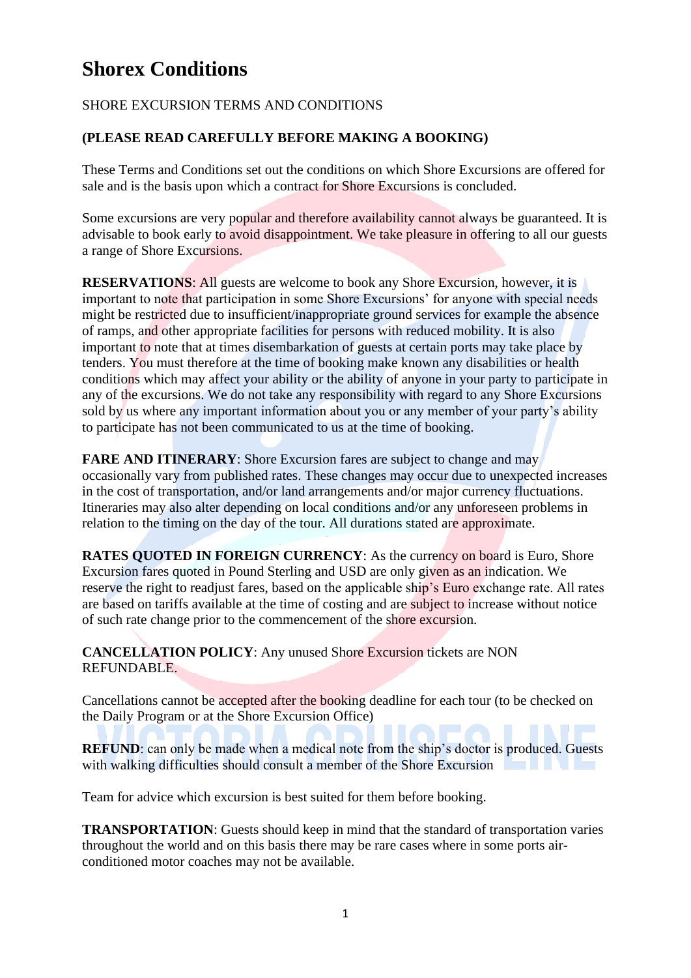## **Shorex Conditions**

## SHORE EXCURSION TERMS AND CONDITIONS

## **(PLEASE READ CAREFULLY BEFORE MAKING A BOOKING)**

These Terms and Conditions set out the conditions on which Shore Excursions are offered for sale and is the basis upon which a contract for Shore Excursions is concluded.

Some excursions are very popular and therefore availability cannot always be guaranteed. It is advisable to book early to avoid disappointment. We take pleasure in offering to all our guests a range of Shore Excursions.

**RESERVATIONS**: All guests are welcome to book any Shore Excursion, however, it is important to note that participation in some Shore Excursions' for anyone with special needs might be restricted due to insufficient/inappropriate ground services for example the absence of ramps, and other appropriate facilities for persons with reduced mobility. It is also important to note that at times disembarkation of guests at certain ports may take place by tenders. You must therefore at the time of booking make known any disabilities or health conditions which may affect your ability or the ability of anyone in your party to participate in any of the excursions. We do not take any responsibility with regard to any Shore Excursions sold by us where any important information about you or any member of your party's ability to participate has not been communicated to us at the time of booking.

**FARE AND ITINERARY:** Shore Excursion fares are subject to change and may occasionally vary from published rates. These changes may occur due to unexpected increases in the cost of transportation, and/or land arrangements and/or major currency fluctuations. Itineraries may also alter depending on local conditions and/or any unforeseen problems in relation to the timing on the day of the tour. All durations stated are approximate.

**RATES QUOTED IN FOREIGN CURRENCY:** As the currency on board is Euro, Shore Excursion fares quoted in Pound Sterling and USD are only given as an indication. We reserve the right to readjust fares, based on the applicable ship's Euro exchange rate. All rates are based on tariffs available at the time of costing and are subject to increase without notice of such rate change prior to the commencement of the shore excursion.

**CANCELLATION POLICY**: Any unused Shore Excursion tickets are NON REFUNDABLE.

Cancellations cannot be accepted after the booking deadline for each tour (to be checked on the Daily Program or at the Shore Excursion Office)

**REFUND**: can only be made when a medical note from the ship's doctor is produced. Guests with walking difficulties should consult a member of the Shore Excursion

Team for advice which excursion is best suited for them before booking.

**TRANSPORTATION**: Guests should keep in mind that the standard of transportation varies throughout the world and on this basis there may be rare cases where in some ports airconditioned motor coaches may not be available.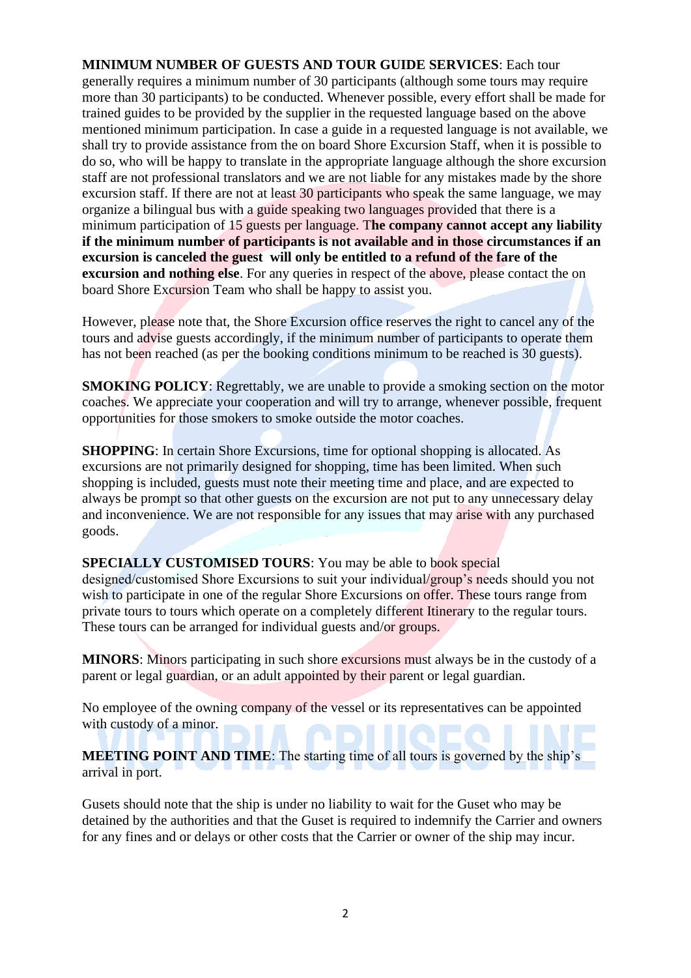**MINIMUM NUMBER OF GUESTS AND TOUR GUIDE SERVICES**: Each tour generally requires a minimum number of 30 participants (although some tours may require more than 30 participants) to be conducted. Whenever possible, every effort shall be made for trained guides to be provided by the supplier in the requested language based on the above mentioned minimum participation. In case a guide in a requested language is not available, we shall try to provide assistance from the on board Shore Excursion Staff, when it is possible to do so, who will be happy to translate in the appropriate language although the shore excursion staff are not professional translators and we are not liable for any mistakes made by the shore excursion staff. If there are not at least 30 participants who speak the same language, we may organize a bilingual bus with a guide speaking two languages provided that there is a minimum participation of 15 guests per language. T**he company cannot accept any liability if the minimum number of participants is not available and in those circumstances if an excursion is canceled the guest will only be entitled to a refund of the fare of the excursion and nothing else**. For any queries in respect of the above, please contact the on board Shore Excursion Team who shall be happy to assist you.

However, please note that, the Shore Excursion office reserves the right to cancel any of the tours and advise guests accordingly, if the minimum number of participants to operate them has not been reached (as per the booking conditions minimum to be reached is 30 guests).

**SMOKING POLICY:** Regrettably, we are unable to provide a smoking section on the motor coaches. We appreciate your cooperation and will try to arrange, whenever possible, frequent opportunities for those smokers to smoke outside the motor coaches.

**SHOPPING**: In certain Shore Excursions, time for optional shopping is allocated. As excursions are not primarily designed for shopping, time has been limited. When such shopping is included, guests must note their meeting time and place, and are expected to always be prompt so that other guests on the excursion are not put to any unnecessary delay and inconvenience. We are not responsible for any issues that may arise with any purchased goods.

**SPECIALLY CUSTOMISED TOURS:** You may be able to book special

designed/customised Shore Excursions to suit your individual/group's needs should you not wish to participate in one of the regular Shore Excursions on offer. These tours range from private tours to tours which operate on a completely different Itinerary to the regular tours. These tours can be arranged for individual guests and/or groups.

**MINORS**: Minors participating in such shore excursions must always be in the custody of a parent or legal guardian, or an adult appointed by their parent or legal guardian.

No employee of the owning company of the vessel or its representatives can be appointed with custody of a minor.

**MEETING POINT AND TIME**: The starting time of all tours is governed by the ship's arrival in port.

Gusets should note that the ship is under no liability to wait for the Guset who may be detained by the authorities and that the Guset is required to indemnify the Carrier and owners for any fines and or delays or other costs that the Carrier or owner of the ship may incur.